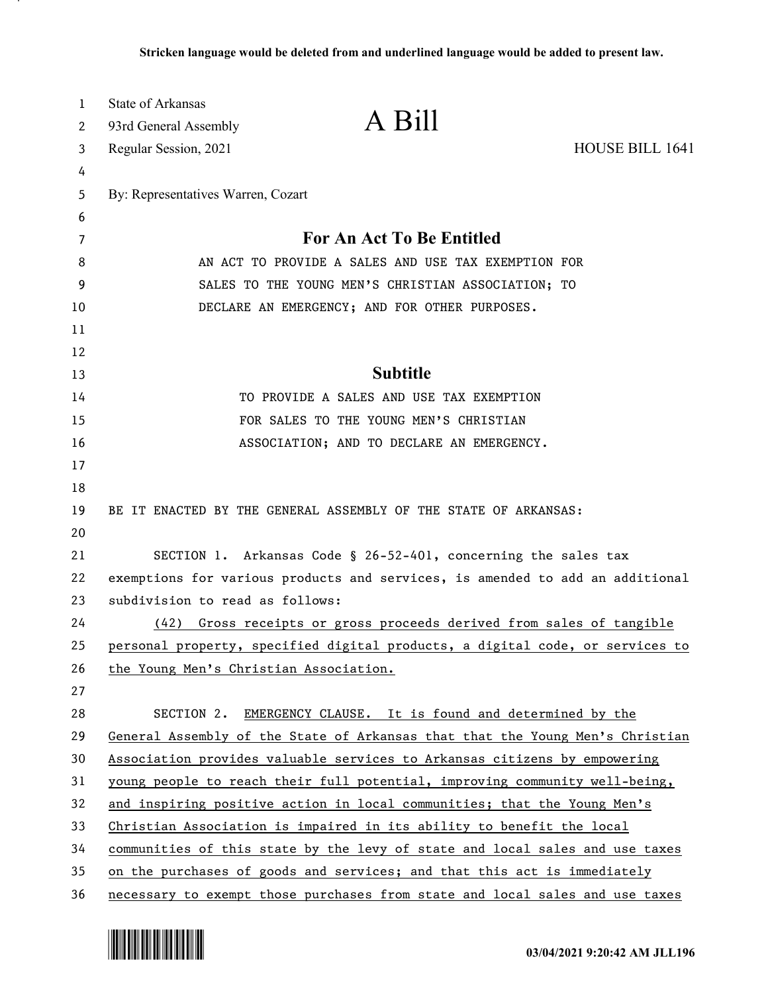| $\mathbf 1$ | <b>State of Arkansas</b>                                                      |                                                                               |                 |
|-------------|-------------------------------------------------------------------------------|-------------------------------------------------------------------------------|-----------------|
| 2           | 93rd General Assembly                                                         | A Bill                                                                        |                 |
| 3           | Regular Session, 2021                                                         |                                                                               | HOUSE BILL 1641 |
| 4           |                                                                               |                                                                               |                 |
| 5           | By: Representatives Warren, Cozart                                            |                                                                               |                 |
| 6           |                                                                               |                                                                               |                 |
| 7           | For An Act To Be Entitled                                                     |                                                                               |                 |
| 8           | AN ACT TO PROVIDE A SALES AND USE TAX EXEMPTION FOR                           |                                                                               |                 |
| 9           | SALES TO THE YOUNG MEN'S CHRISTIAN ASSOCIATION; TO                            |                                                                               |                 |
| 10          |                                                                               | DECLARE AN EMERGENCY; AND FOR OTHER PURPOSES.                                 |                 |
| 11          |                                                                               |                                                                               |                 |
| 12          |                                                                               |                                                                               |                 |
| 13          |                                                                               | <b>Subtitle</b>                                                               |                 |
| 14          |                                                                               | TO PROVIDE A SALES AND USE TAX EXEMPTION                                      |                 |
| 15          |                                                                               | FOR SALES TO THE YOUNG MEN'S CHRISTIAN                                        |                 |
| 16          |                                                                               | ASSOCIATION; AND TO DECLARE AN EMERGENCY.                                     |                 |
| 17          |                                                                               |                                                                               |                 |
| 18          |                                                                               |                                                                               |                 |
| 19          |                                                                               | BE IT ENACTED BY THE GENERAL ASSEMBLY OF THE STATE OF ARKANSAS:               |                 |
| 20          |                                                                               |                                                                               |                 |
| 21          |                                                                               | SECTION 1. Arkansas Code § 26-52-401, concerning the sales tax                |                 |
| 22          | exemptions for various products and services, is amended to add an additional |                                                                               |                 |
| 23          | subdivision to read as follows:                                               |                                                                               |                 |
| 24          | (42)                                                                          | Gross receipts or gross proceeds derived from sales of tangible               |                 |
| 25          |                                                                               | personal property, specified digital products, a digital code, or services to |                 |
| 26          | the Young Men's Christian Association.                                        |                                                                               |                 |
| 27          |                                                                               |                                                                               |                 |
| 28          | SECTION 2.                                                                    | EMERGENCY CLAUSE. It is found and determined by the                           |                 |
| 29          |                                                                               | General Assembly of the State of Arkansas that that the Young Men's Christian |                 |
| 30          |                                                                               | Association provides valuable services to Arkansas citizens by empowering     |                 |
| 31          |                                                                               | young people to reach their full potential, improving community well-being,   |                 |
| 32          |                                                                               | and inspiring positive action in local communities; that the Young Men's      |                 |
| 33          |                                                                               | Christian Association is impaired in its ability to benefit the local         |                 |
| 34          |                                                                               | communities of this state by the levy of state and local sales and use taxes  |                 |
| 35          |                                                                               | on the purchases of goods and services; and that this act is immediately      |                 |
| 36          |                                                                               | necessary to exempt those purchases from state and local sales and use taxes  |                 |